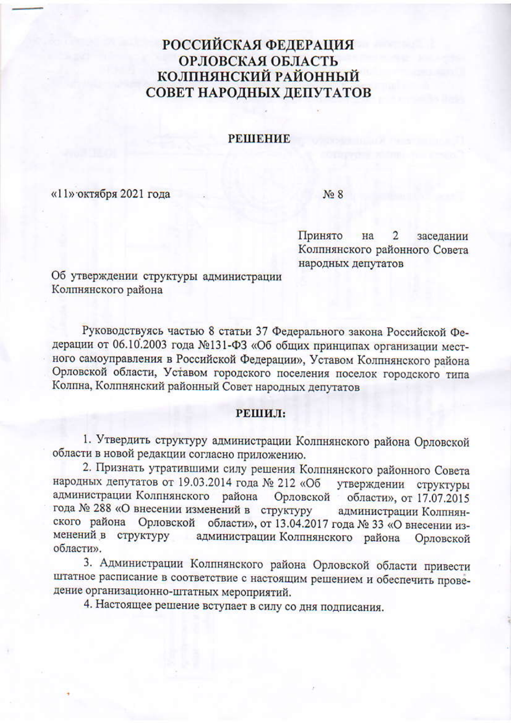## **РОССИЙСКАЯ ФЕДЕРАЦИЯ** ОРЛОВСКАЯ ОБЛАСТЬ КОЛПНЯНСКИЙ РАЙОННЫЙ СОВЕТ НАРОДНЫХ ДЕПУТАТОВ

## **РЕШЕНИЕ**

«11» октября 2021 года

 $N<sub>0</sub>$  8

Принято  $\overline{2}$ на заседании Колпнянского районного Совета народных депутатов

Об утверждении структуры администрации Колпнянского района

Руководствуясь частью 8 статьи 37 Федерального закона Российской Федерации от 06.10.2003 года №131-ФЗ «Об общих принципах организации местного самоуправления в Российской Федерации», Уставом Колпнянского района Орловской области, Уставом городского поселения поселок городского типа Колпна, Колпнянский районный Совет народных депутатов

## РЕШИЛ:

1. Утвердить структуру администрации Колпнянского района Орловской области в новой редакции согласно приложению.

2. Признать утратившими силу решения Колпнянского районного Совета народных депутатов от 19.03.2014 года № 212 «Об утверждении структуры администрации Колпнянского района Орловской области», от 17.07.2015 года № 288 «О внесении изменений в структуру администрации Колпнянского района Орловской области», от 13.04.2017 года № 33 «О внесении изменений в структуру администрации Колпнянского района Орловской области».

3. Администрации Колпнянского района Орловской области привести штатное расписание в соответствие с настоящим решением и обеспечить проведение организационно-штатных мероприятий.

4. Настоящее решение вступает в силу со дня подписания.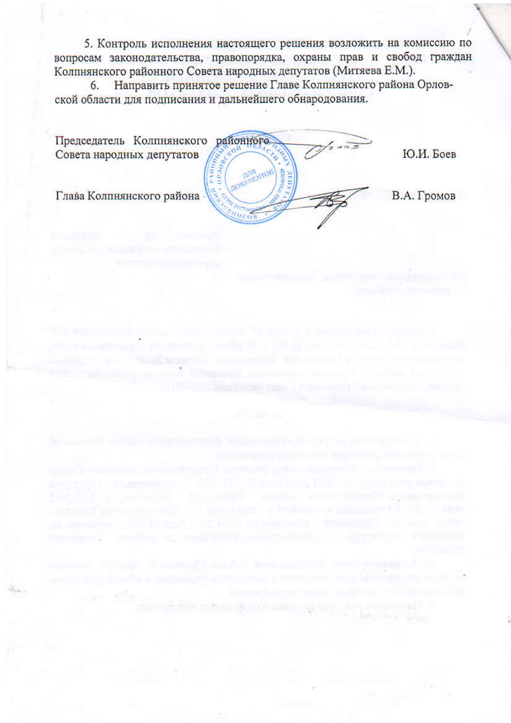5. Контроль исполнения настоящего решения возложить на комиссию по вопросам законодательства, правопорядка, охраны прав и свобод граждан Колпнянского районного Совета народных депутатов (Митяева Е.М.).

Направить принятое решение Главе Колпнянского района Орлов-6. ской области для подписания и дальнейшего обнародования.

Председатель Колпнянского районного. Совета народных депутатов **VORAGE** é AOIO Глава Колпнянского района

Ю.И. Боев

В.А. Громов